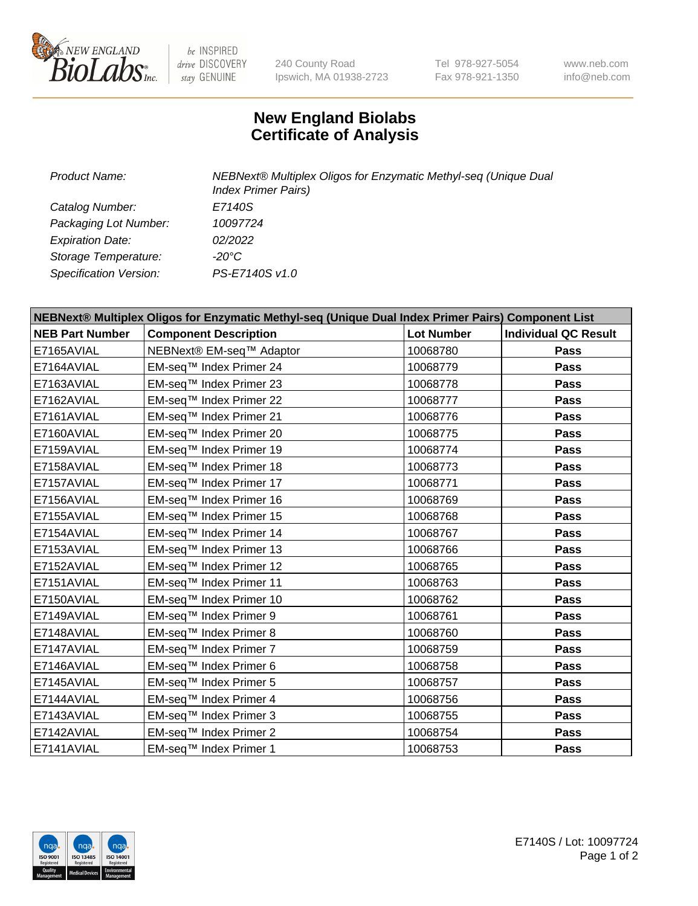

 $be$  INSPIRED drive DISCOVERY stay GENUINE

240 County Road Ipswich, MA 01938-2723 Tel 978-927-5054 Fax 978-921-1350 www.neb.com info@neb.com

## **New England Biolabs Certificate of Analysis**

| <b>Product Name:</b>    | NEBNext® Multiplex Oligos for Enzymatic Methyl-seq (Unique Dual<br><b>Index Primer Pairs)</b> |
|-------------------------|-----------------------------------------------------------------------------------------------|
| Catalog Number:         | E7140S                                                                                        |
| Packaging Lot Number:   | 10097724                                                                                      |
| <b>Expiration Date:</b> | 02/2022                                                                                       |
| Storage Temperature:    | -20°C                                                                                         |
| Specification Version:  | PS-E7140S v1.0                                                                                |

| NEBNext® Multiplex Oligos for Enzymatic Methyl-seq (Unique Dual Index Primer Pairs) Component List |                              |                   |                             |  |
|----------------------------------------------------------------------------------------------------|------------------------------|-------------------|-----------------------------|--|
| <b>NEB Part Number</b>                                                                             | <b>Component Description</b> | <b>Lot Number</b> | <b>Individual QC Result</b> |  |
| E7165AVIAL                                                                                         | NEBNext® EM-seq™ Adaptor     | 10068780          | Pass                        |  |
| E7164AVIAL                                                                                         | EM-seq™ Index Primer 24      | 10068779          | <b>Pass</b>                 |  |
| E7163AVIAL                                                                                         | EM-seq™ Index Primer 23      | 10068778          | Pass                        |  |
| E7162AVIAL                                                                                         | EM-seq™ Index Primer 22      | 10068777          | <b>Pass</b>                 |  |
| E7161AVIAL                                                                                         | EM-seq™ Index Primer 21      | 10068776          | Pass                        |  |
| E7160AVIAL                                                                                         | EM-seq™ Index Primer 20      | 10068775          | <b>Pass</b>                 |  |
| E7159AVIAL                                                                                         | EM-seq™ Index Primer 19      | 10068774          | <b>Pass</b>                 |  |
| E7158AVIAL                                                                                         | EM-seq™ Index Primer 18      | 10068773          | Pass                        |  |
| E7157AVIAL                                                                                         | EM-seq™ Index Primer 17      | 10068771          | Pass                        |  |
| E7156AVIAL                                                                                         | EM-seq™ Index Primer 16      | 10068769          | <b>Pass</b>                 |  |
| E7155AVIAL                                                                                         | EM-seq™ Index Primer 15      | 10068768          | <b>Pass</b>                 |  |
| E7154AVIAL                                                                                         | EM-seq™ Index Primer 14      | 10068767          | <b>Pass</b>                 |  |
| E7153AVIAL                                                                                         | EM-seq™ Index Primer 13      | 10068766          | <b>Pass</b>                 |  |
| E7152AVIAL                                                                                         | EM-seq™ Index Primer 12      | 10068765          | Pass                        |  |
| E7151AVIAL                                                                                         | EM-seq™ Index Primer 11      | 10068763          | <b>Pass</b>                 |  |
| E7150AVIAL                                                                                         | EM-seq™ Index Primer 10      | 10068762          | <b>Pass</b>                 |  |
| E7149AVIAL                                                                                         | EM-seq™ Index Primer 9       | 10068761          | Pass                        |  |
| E7148AVIAL                                                                                         | EM-seq™ Index Primer 8       | 10068760          | <b>Pass</b>                 |  |
| E7147AVIAL                                                                                         | EM-seq™ Index Primer 7       | 10068759          | <b>Pass</b>                 |  |
| E7146AVIAL                                                                                         | EM-seq™ Index Primer 6       | 10068758          | <b>Pass</b>                 |  |
| E7145AVIAL                                                                                         | EM-seq™ Index Primer 5       | 10068757          | <b>Pass</b>                 |  |
| E7144AVIAL                                                                                         | EM-seq™ Index Primer 4       | 10068756          | Pass                        |  |
| E7143AVIAL                                                                                         | EM-seq™ Index Primer 3       | 10068755          | Pass                        |  |
| E7142AVIAL                                                                                         | EM-seq™ Index Primer 2       | 10068754          | <b>Pass</b>                 |  |
| E7141AVIAL                                                                                         | EM-seq™ Index Primer 1       | 10068753          | Pass                        |  |